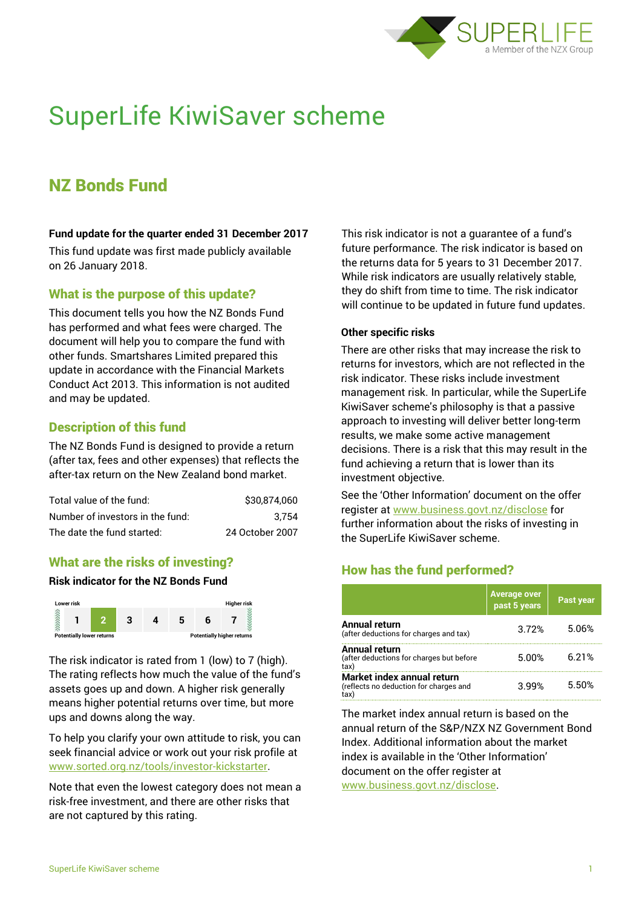

# SuperLife KiwiSaver scheme

# NZ Bonds Fund

#### **Fund update for the quarter ended 31 December 2017**

This fund update was first made publicly available on 26 January 2018.

#### What is the purpose of this update?

This document tells you how the NZ Bonds Fund has performed and what fees were charged. The document will help you to compare the fund with other funds. Smartshares Limited prepared this update in accordance with the Financial Markets Conduct Act 2013. This information is not audited and may be updated.

### Description of this fund

The NZ Bonds Fund is designed to provide a return (after tax, fees and other expenses) that reflects the after-tax return on the New Zealand bond market.

| Total value of the fund:         | \$30,874,060    |
|----------------------------------|-----------------|
| Number of investors in the fund: | 3.754           |
| The date the fund started:       | 24 October 2007 |

# What are the risks of investing?

#### **Risk indicator for the NZ Bonds Fund**



The risk indicator is rated from 1 (low) to 7 (high). The rating reflects how much the value of the fund's assets goes up and down. A higher risk generally means higher potential returns over time, but more ups and downs along the way.

To help you clarify your own attitude to risk, you can seek financial advice or work out your risk profile at [www.sorted.org.nz/tools/investor-kickstarter.](http://www.sorted.org.nz/tools/investor-kickstarter)

Note that even the lowest category does not mean a risk-free investment, and there are other risks that are not captured by this rating.

This risk indicator is not a guarantee of a fund's future performance. The risk indicator is based on the returns data for 5 years to 31 December 2017. While risk indicators are usually relatively stable, they do shift from time to time. The risk indicator will continue to be updated in future fund updates.

#### **Other specific risks**

There are other risks that may increase the risk to returns for investors, which are not reflected in the risk indicator. These risks include investment management risk. In particular, while the SuperLife KiwiSaver scheme's philosophy is that a passive approach to investing will deliver better long-term results, we make some active management decisions. There is a risk that this may result in the fund achieving a return that is lower than its investment objective.

See the 'Other Information' document on the offer register at www.business.govt.nz/disclose for further information about the risks of investing in the SuperLife KiwiSaver scheme.

# How has the fund performed?

|                                                                             | Average over<br>past 5 years | Past year |
|-----------------------------------------------------------------------------|------------------------------|-----------|
| <b>Annual return</b><br>(after deductions for charges and tax)              | 3.72%                        | 5.06%     |
| <b>Annual return</b><br>(after deductions for charges but before<br>tax)    | 5.00%                        | 6.21%     |
| Market index annual return<br>(reflects no deduction for charges and<br>tax | 399%                         | 5.50%     |

The market index annual return is based on the annual return of the S&P/NZX NZ Government Bond Index. Additional information about the market index is available in the 'Other Information' document on the offer register at

www.business.govt.nz/disclose.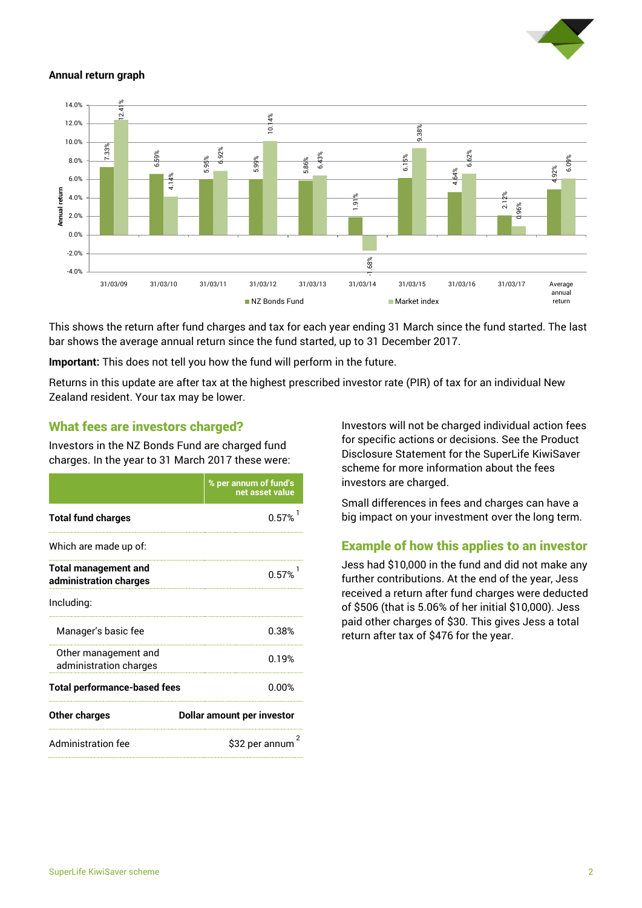

#### **Annual return graph**



This shows the return after fund charges and tax for each year ending 31 March since the fund started. The last bar shows the average annual return since the fund started, up to 31 December 2017.

**Important:** This does not tell you how the fund will perform in the future.

Returns in this update are after tax at the highest prescribed investor rate (PIR) of tax for an individual New Zealand resident. Your tax may be lower.

#### What fees are investors charged?

Investors in the NZ Bonds Fund are charged fund charges. In the year to 31 March 2017 these were:

|                                                       | % per annum of fund's<br>net asset value |  |
|-------------------------------------------------------|------------------------------------------|--|
| <b>Total fund charges</b>                             | 0.57%                                    |  |
| Which are made up of:                                 |                                          |  |
| <b>Total management and</b><br>administration charges | 0.57%                                    |  |
| Including:                                            |                                          |  |
| Manager's basic fee                                   | 0.38%                                    |  |
| Other management and<br>administration charges        | በ 19%                                    |  |
| <b>Total performance-based fees</b>                   | 0.00%                                    |  |
| <b>Other charges</b>                                  | <b>Dollar amount per investor</b>        |  |
| <b>Administration fee</b>                             | 2<br>\$32 per annum                      |  |

Investors will not be charged individual action fees for specific actions or decisions. See the Product Disclosure Statement for the SuperLife KiwiSaver scheme for more information about the fees investors are charged.

Small differences in fees and charges can have a big impact on your investment over the long term.

#### Example of how this applies to an investor

Jess had \$10,000 in the fund and did not make any further contributions. At the end of the year, Jess received a return after fund charges were deducted of \$506 (that is 5.06% of her initial \$10,000). Jess paid other charges of \$30. This gives Jess a total return after tax of \$476 for the year.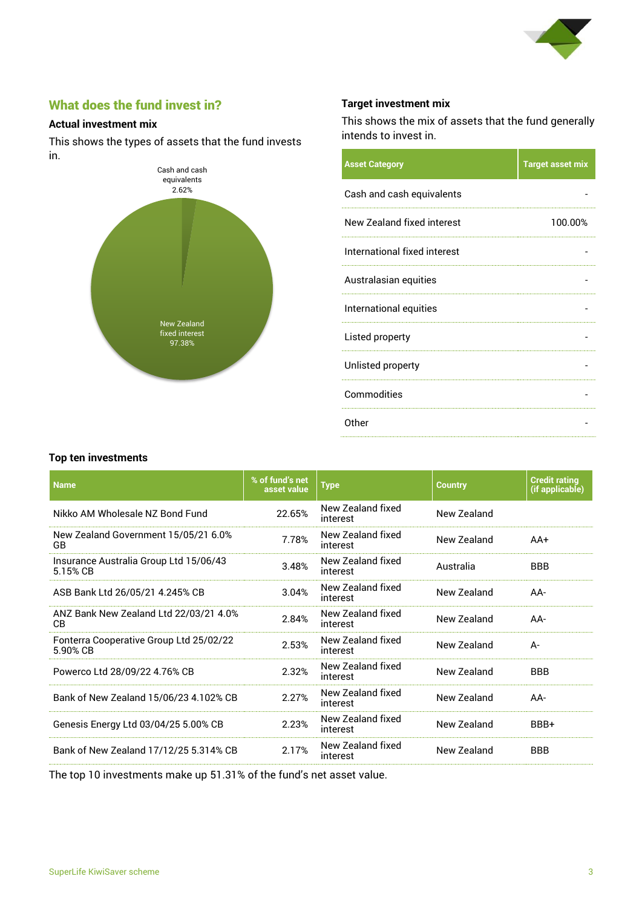

# What does the fund invest in?

#### **Actual investment mix**

This shows the types of assets that the fund invests in.



#### **Target investment mix**

This shows the mix of assets that the fund generally intends to invest in.

| <b>Asset Category</b>        | <b>Target asset mix</b> |
|------------------------------|-------------------------|
| Cash and cash equivalents    |                         |
| New Zealand fixed interest   | 100.00%                 |
| International fixed interest |                         |
| Australasian equities        |                         |
| International equities       |                         |
| Listed property              |                         |
| Unlisted property            |                         |
| Commodities                  |                         |
| Other                        |                         |
|                              |                         |

#### **Top ten investments**

| <b>Name</b>                                         | % of fund's net<br>asset value | <b>Type</b>                   | <b>Country</b> | <b>Credit rating</b><br>(if applicable) |
|-----------------------------------------------------|--------------------------------|-------------------------------|----------------|-----------------------------------------|
| Nikko AM Wholesale N7 Bond Fund                     | 22.65%                         | New Zealand fixed<br>interest | New Zealand    |                                         |
| New Zealand Government 15/05/21 6.0%<br>GB.         | 7.78%                          | New Zealand fixed<br>interest | New Zealand    | AA+                                     |
| Insurance Australia Group Ltd 15/06/43<br>5.15% CB  | 3.48%                          | New Zealand fixed<br>interest | Australia      | <b>BBB</b>                              |
| ASB Bank Ltd 26/05/21 4.245% CB                     | 3.04%                          | New Zealand fixed<br>interest | New Zealand    | AA-                                     |
| ANZ Bank New Zealand Ltd 22/03/21 4.0%<br><b>CB</b> | 2.84%                          | New Zealand fixed<br>interest | New Zealand    | AA-                                     |
| Fonterra Cooperative Group Ltd 25/02/22<br>5.90% CB | 2.53%                          | New Zealand fixed<br>interest | New Zealand    | A-                                      |
| Powerco Ltd 28/09/22 4.76% CB                       | 2.32%                          | New Zealand fixed<br>interest | New Zealand    | <b>BBB</b>                              |
| Bank of New Zealand 15/06/23 4.102% CB              | 2.27%                          | New Zealand fixed<br>interest | New Zealand    | AA-                                     |
| Genesis Energy Ltd 03/04/25 5.00% CB                | 2.23%                          | New Zealand fixed<br>interest | New Zealand    | BBB+                                    |
| Bank of New Zealand 17/12/25 5.314% CB              | 2.17%                          | New Zealand fixed<br>interest | New Zealand    | <b>BBB</b>                              |

The top 10 investments make up 51.31% of the fund's net asset value.